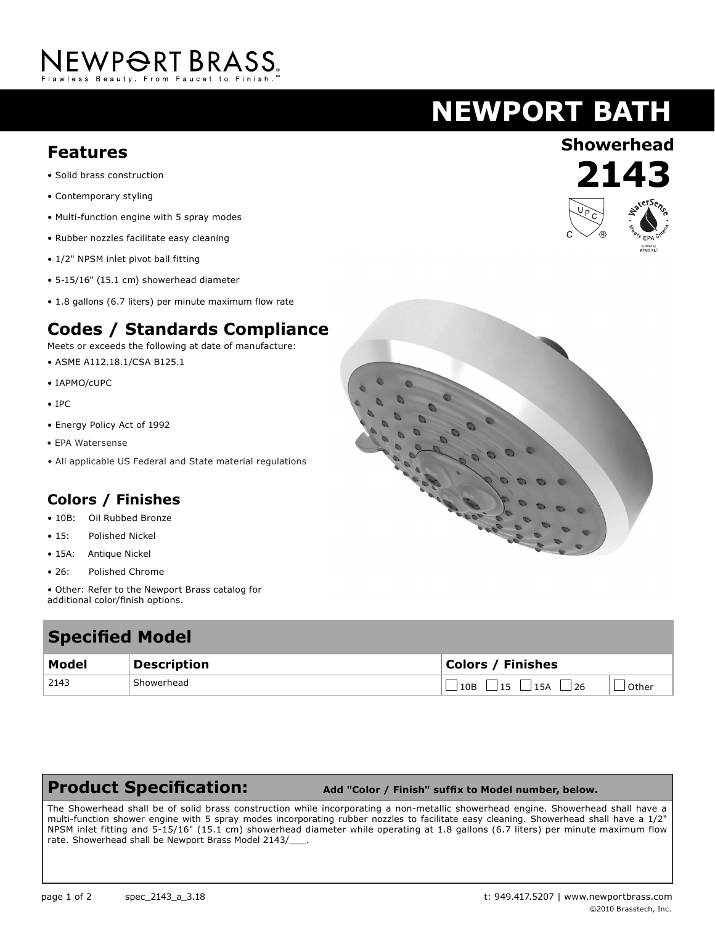# NEWPORT BRASS.

## **NEWPORT BATH**

### **Showerhead Features**

- Solid brass construction
- Contemporary styling
- Multi-function engine with 5 spray modes
- Rubber nozzles facilitate easy cleaning
- 1/2" NPSM inlet pivot ball fitting
- 5-15/16" (15.1 cm) showerhead diameter
- 1.8 gallons (6.7 liters) per minute maximum flow rate

#### **Codes / Standards Compliance**

Meets or exceeds the following at date of manufacture:

- ASME A112.18.1/CSA B125.1
- IAPMO/cUPC
- IPC
- Energy Policy Act of 1992
- EPA Watersense
- All applicable US Federal and State material regulations

#### **Colors / Finishes**

- 10B: Oil Rubbed Bronze
- 15: Polished Nickel
- 15A: Antique Nickel
- 26: Polished Chrome
- Other: Refer to the Newport Brass catalog for additional color/finish options.

### **Specified Model Model Description Colors / Finishes** 2143 Showerhead Showerhead  $\Box$  10B  $\Box$  15  $\Box$  15A  $\Box$  26  $\Box$  Other

#### **Product Specification:**

 **Add "Color / Finish" suffix to Model number, below.**

The Showerhead shall be of solid brass construction while incorporating a non-metallic showerhead engine. Showerhead shall have a multi-function shower engine with 5 spray modes incorporating rubber nozzles to facilitate easy cleaning. Showerhead shall have a 1/2" NPSM inlet fitting and 5-15/16" (15.1 cm) showerhead diameter while operating at 1.8 gallons (6.7 liters) per minute maximum flow rate. Showerhead shall be Newport Brass Model 2143/